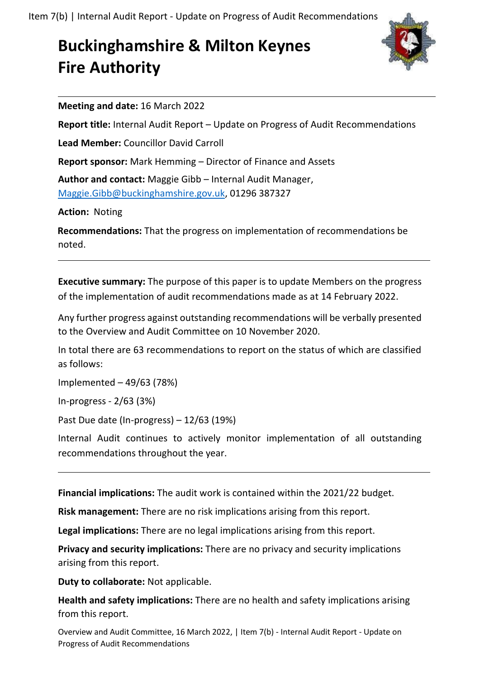## **Buckinghamshire & Milton Keynes Fire Authority**



**Meeting and date:** 16 March 2022

**Report title:** Internal Audit Report – Update on Progress of Audit Recommendations

**Lead Member:** Councillor David Carroll

**Report sponsor:** Mark Hemming – Director of Finance and Assets

**Author and contact:** Maggie Gibb – Internal Audit Manager, [Maggie.Gibb@buckinghamshire.gov.uk,](mailto:Maggie.Gibb@buckinghamshire.gov.uk) 01296 387327

**Action:** Noting

**Recommendations:** That the progress on implementation of recommendations be noted.

**Executive summary:** The purpose of this paper is to update Members on the progress of the implementation of audit recommendations made as at 14 February 2022.

Any further progress against outstanding recommendations will be verbally presented to the Overview and Audit Committee on 10 November 2020.

In total there are 63 recommendations to report on the status of which are classified as follows:

Implemented – 49/63 (78%)

In-progress - 2/63 (3%)

Past Due date (In-progress) – 12/63 (19%)

Internal Audit continues to actively monitor implementation of all outstanding recommendations throughout the year.

**Financial implications:** The audit work is contained within the 2021/22 budget.

**Risk management:** There are no risk implications arising from this report.

**Legal implications:** There are no legal implications arising from this report.

**Privacy and security implications:** There are no privacy and security implications arising from this report.

**Duty to collaborate:** Not applicable.

**Health and safety implications:** There are no health and safety implications arising from this report.

Overview and Audit Committee, 16 March 2022, | Item 7(b) - Internal Audit Report - Update on Progress of Audit Recommendations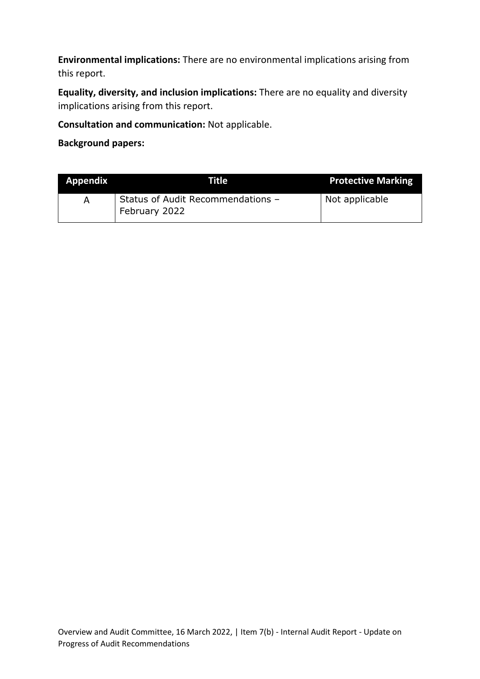**Environmental implications:** There are no environmental implications arising from this report.

**Equality, diversity, and inclusion implications:** There are no equality and diversity implications arising from this report.

**Consultation and communication:** Not applicable.

**Background papers:**

| <b>Appendix</b> | Title                                              | <b>Protective Marking</b> |
|-----------------|----------------------------------------------------|---------------------------|
|                 | Status of Audit Recommendations -<br>February 2022 | Not applicable            |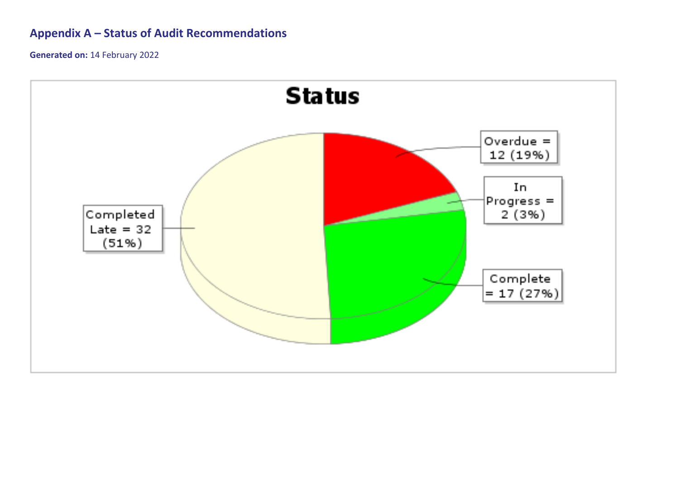## **Appendix A – Status of Audit Recommendations**

**Generated on:** 14 February 2022

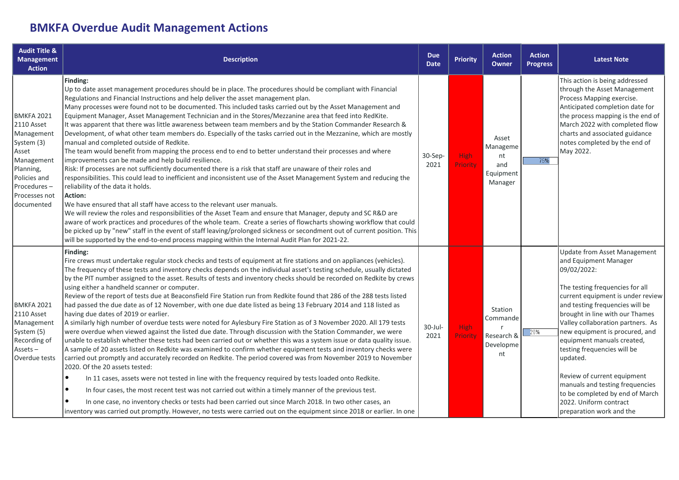## **BMKFA Overdue Audit Management Actions**

| <b>Audit Title &amp;</b><br><b>Management</b><br><b>Action</b>                                                                                                | <b>Description</b>                                                                                                                                                                                                                                                                                                                                                                                                                                                                                                                                                                                                                                                                                                                                                                                                                                                                                                                                                                                                                                                                                                                                                                                                                                                                                                                                                                                                                                                                                                                                                                                                                                                                                                                                                                                                                                | <b>Due</b><br><b>Date</b> | <b>Priority</b>         | <b>Action</b><br><b>Owner</b>                          | <b>Action</b><br><b>Progress</b> | <b>Latest Note</b>                                                                                                                                                                                                                                                                                                                                                                                                                                                                                                                   |
|---------------------------------------------------------------------------------------------------------------------------------------------------------------|---------------------------------------------------------------------------------------------------------------------------------------------------------------------------------------------------------------------------------------------------------------------------------------------------------------------------------------------------------------------------------------------------------------------------------------------------------------------------------------------------------------------------------------------------------------------------------------------------------------------------------------------------------------------------------------------------------------------------------------------------------------------------------------------------------------------------------------------------------------------------------------------------------------------------------------------------------------------------------------------------------------------------------------------------------------------------------------------------------------------------------------------------------------------------------------------------------------------------------------------------------------------------------------------------------------------------------------------------------------------------------------------------------------------------------------------------------------------------------------------------------------------------------------------------------------------------------------------------------------------------------------------------------------------------------------------------------------------------------------------------------------------------------------------------------------------------------------------------|---------------------------|-------------------------|--------------------------------------------------------|----------------------------------|--------------------------------------------------------------------------------------------------------------------------------------------------------------------------------------------------------------------------------------------------------------------------------------------------------------------------------------------------------------------------------------------------------------------------------------------------------------------------------------------------------------------------------------|
| BMKFA 2021<br><b>2110 Asset</b><br>Management<br>System (3)<br>Asset<br>Management<br>Planning,<br>Policies and<br>Procedures-<br>Processes not<br>documented | Finding:<br>Up to date asset management procedures should be in place. The procedures should be compliant with Financial<br>Regulations and Financial Instructions and help deliver the asset management plan.<br>Many processes were found not to be documented. This included tasks carried out by the Asset Management and<br>Equipment Manager, Asset Management Technician and in the Stores/Mezzanine area that feed into RedKite.<br>It was apparent that there was little awareness between team members and by the Station Commander Research &<br>Development, of what other team members do. Especially of the tasks carried out in the Mezzanine, which are mostly<br>manual and completed outside of Redkite.<br>The team would benefit from mapping the process end to end to better understand their processes and where<br>improvements can be made and help build resilience.<br>Risk: If processes are not sufficiently documented there is a risk that staff are unaware of their roles and<br>responsibilities. This could lead to inefficient and inconsistent use of the Asset Management System and reducing the<br>reliability of the data it holds.<br><b>Action:</b><br>We have ensured that all staff have access to the relevant user manuals.<br>We will review the roles and responsibilities of the Asset Team and ensure that Manager, deputy and SC R&D are<br>aware of work practices and procedures of the whole team. Create a series of flowcharts showing workflow that could<br>be picked up by "new" staff in the event of staff leaving/prolonged sickness or secondment out of current position. This<br>will be supported by the end-to-end process mapping within the Internal Audit Plan for 2021-22.                                                                                                | $30-$ Sep-<br>2021        | <b>High</b><br>Priority | Asset<br>Manageme<br>nt<br>and<br>Equipment<br>Manager | 75%                              | This action is being addressed<br>through the Asset Management<br>Process Mapping exercise.<br>Anticipated completion date for<br>the process mapping is the end of<br>March 2022 with completed flow<br>charts and associated guidance<br>notes completed by the end of<br>May 2022.                                                                                                                                                                                                                                                |
| BMKFA 2021<br>2110 Asset<br>Management<br>System (5)<br>Recording of<br>Assets-<br>Overdue tests                                                              | Finding:<br>Fire crews must undertake regular stock checks and tests of equipment at fire stations and on appliances (vehicles).<br>The frequency of these tests and inventory checks depends on the individual asset's testing schedule, usually dictated<br>by the PIT number assigned to the asset. Results of tests and inventory checks should be recorded on Redkite by crews<br>using either a handheld scanner or computer.<br>Review of the report of tests due at Beaconsfield Fire Station run from Redkite found that 286 of the 288 tests listed<br>had passed the due date as of 12 November, with one due date listed as being 13 February 2014 and 118 listed as<br>having due dates of 2019 or earlier.<br>A similarly high number of overdue tests were noted for Aylesbury Fire Station as of 3 November 2020. All 179 tests<br>were overdue when viewed against the listed due date. Through discussion with the Station Commander, we were<br>unable to establish whether these tests had been carried out or whether this was a system issue or data quality issue.<br>A sample of 20 assets listed on Redkite was examined to confirm whether equipment tests and inventory checks were<br>carried out promptly and accurately recorded on Redkite. The period covered was from November 2019 to November<br>2020. Of the 20 assets tested:<br>$\bullet$<br>In 11 cases, assets were not tested in line with the frequency required by tests loaded onto Redkite.<br>In four cases, the most recent test was not carried out within a timely manner of the previous test.<br>$\bullet$<br>In one case, no inventory checks or tests had been carried out since March 2018. In two other cases, an<br>inventory was carried out promptly. However, no tests were carried out on the equipment since 2018 or earlier. In one | 30-Jul-<br>2021           | <b>High</b><br>Priority | Station<br>Commande<br>Research &<br>Developme<br>nt   | 20%                              | <b>Update from Asset Management</b><br>and Equipment Manager<br>09/02/2022:<br>The testing frequencies for all<br>current equipment is under review<br>and testing frequencies will be<br>brought in line with our Thames<br>Valley collaboration partners. As<br>new equipment is procured, and<br>equipment manuals created,<br>testing frequencies will be<br>updated.<br>Review of current equipment<br>manuals and testing frequencies<br>to be completed by end of March<br>2022. Uniform contract<br>preparation work and the |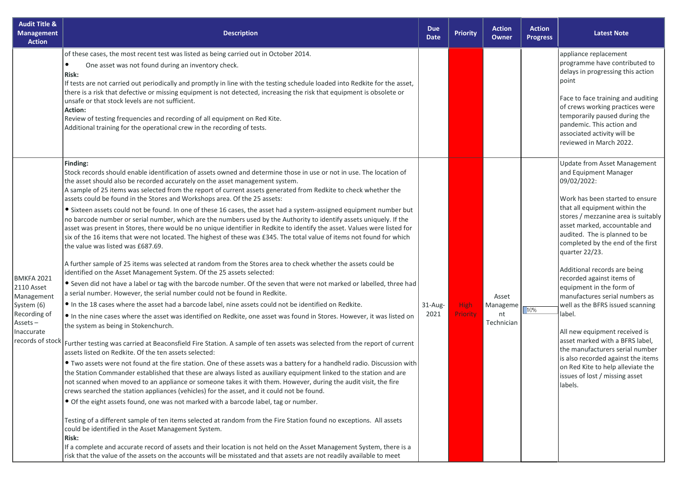| <b>Audit Title &amp;</b><br><b>Management</b><br><b>Action</b>                                                           | <b>Description</b>                                                                                                                                                                                                                                                                                                                                                                                                                                                                                                                                                                                                                                                                                                                                                                                                                                                                                                                                                                                                                                                                                                                                                                                                                                                                                                                                                                                                                                                                                                                                                                                                                                                                                                                                                                                                                                                                                                                                                                                                                                                                                                                                                                                                                                                                                                                                                                                                                                                                                                                                                                                                                                                                                                                                                                                                                      | <b>Due</b><br><b>Date</b> | <b>Priority</b>         | <b>Action</b><br>Owner                | <b>Action</b><br><b>Progress</b> | <b>Latest Note</b>                                                                                                                                                                                                                                                                                                                                                                                                                                                                                                                                                                                                                                                                                                      |
|--------------------------------------------------------------------------------------------------------------------------|-----------------------------------------------------------------------------------------------------------------------------------------------------------------------------------------------------------------------------------------------------------------------------------------------------------------------------------------------------------------------------------------------------------------------------------------------------------------------------------------------------------------------------------------------------------------------------------------------------------------------------------------------------------------------------------------------------------------------------------------------------------------------------------------------------------------------------------------------------------------------------------------------------------------------------------------------------------------------------------------------------------------------------------------------------------------------------------------------------------------------------------------------------------------------------------------------------------------------------------------------------------------------------------------------------------------------------------------------------------------------------------------------------------------------------------------------------------------------------------------------------------------------------------------------------------------------------------------------------------------------------------------------------------------------------------------------------------------------------------------------------------------------------------------------------------------------------------------------------------------------------------------------------------------------------------------------------------------------------------------------------------------------------------------------------------------------------------------------------------------------------------------------------------------------------------------------------------------------------------------------------------------------------------------------------------------------------------------------------------------------------------------------------------------------------------------------------------------------------------------------------------------------------------------------------------------------------------------------------------------------------------------------------------------------------------------------------------------------------------------------------------------------------------------------------------------------------------------|---------------------------|-------------------------|---------------------------------------|----------------------------------|-------------------------------------------------------------------------------------------------------------------------------------------------------------------------------------------------------------------------------------------------------------------------------------------------------------------------------------------------------------------------------------------------------------------------------------------------------------------------------------------------------------------------------------------------------------------------------------------------------------------------------------------------------------------------------------------------------------------------|
|                                                                                                                          | of these cases, the most recent test was listed as being carried out in October 2014.<br>One asset was not found during an inventory check.<br><b>Risk:</b><br>If tests are not carried out periodically and promptly in line with the testing schedule loaded into Redkite for the asset,<br>there is a risk that defective or missing equipment is not detected, increasing the risk that equipment is obsolete or<br>unsafe or that stock levels are not sufficient.<br>Action:<br>Review of testing frequencies and recording of all equipment on Red Kite.<br>Additional training for the operational crew in the recording of tests.                                                                                                                                                                                                                                                                                                                                                                                                                                                                                                                                                                                                                                                                                                                                                                                                                                                                                                                                                                                                                                                                                                                                                                                                                                                                                                                                                                                                                                                                                                                                                                                                                                                                                                                                                                                                                                                                                                                                                                                                                                                                                                                                                                                              |                           |                         |                                       |                                  | appliance replacement<br>programme have contributed to<br>delays in progressing this action<br>point<br>Face to face training and auditing<br>of crews working practices were<br>temporarily paused during the<br>pandemic. This action and<br>associated activity will be<br>reviewed in March 2022.                                                                                                                                                                                                                                                                                                                                                                                                                   |
| <b>BMKFA 2021</b><br>2110 Asset<br>Management<br>System (6)<br>Recording of<br>Assets-<br>Inaccurate<br>records of stock | Finding:<br>Stock records should enable identification of assets owned and determine those in use or not in use. The location of<br>the asset should also be recorded accurately on the asset management system.<br>A sample of 25 items was selected from the report of current assets generated from Redkite to check whether the<br>assets could be found in the Stores and Workshops area. Of the 25 assets:<br>• Sixteen assets could not be found. In one of these 16 cases, the asset had a system-assigned equipment number but<br>no barcode number or serial number, which are the numbers used by the Authority to identify assets uniquely. If the<br>asset was present in Stores, there would be no unique identifier in Redkite to identify the asset. Values were listed for<br>six of the 16 items that were not located. The highest of these was £345. The total value of items not found for which<br>the value was listed was £687.69.<br>A further sample of 25 items was selected at random from the Stores area to check whether the assets could be<br>identified on the Asset Management System. Of the 25 assets selected:<br>• Seven did not have a label or tag with the barcode number. Of the seven that were not marked or labelled, three had<br>a serial number. However, the serial number could not be found in Redkite.<br>. In the 18 cases where the asset had a barcode label, nine assets could not be identified on Redkite.<br>In the nine cases where the asset was identified on Redkite, one asset was found in Stores. However, it was listed on<br>the system as being in Stokenchurch.<br>Further testing was carried at Beaconsfield Fire Station. A sample of ten assets was selected from the report of current<br>assets listed on Redkite. Of the ten assets selected:<br>. Two assets were not found at the fire station. One of these assets was a battery for a handheld radio. Discussion with<br>the Station Commander established that these are always listed as auxiliary equipment linked to the station and are<br>not scanned when moved to an appliance or someone takes it with them. However, during the audit visit, the fire<br>crews searched the station appliances (vehicles) for the asset, and it could not be found.<br>• Of the eight assets found, one was not marked with a barcode label, tag or number.<br>Testing of a different sample of ten items selected at random from the Fire Station found no exceptions. All assets<br>could be identified in the Asset Management System.<br><b>Risk:</b><br>If a complete and accurate record of assets and their location is not held on the Asset Management System, there is a<br>risk that the value of the assets on the accounts will be misstated and that assets are not readily available to meet | 31-Aug-<br>2021           | <b>High</b><br>Priority | Asset<br>Manageme<br>nt<br>Technician | 10%                              | <b>Update from Asset Management</b><br>and Equipment Manager<br>09/02/2022:<br>Work has been started to ensure<br>that all equipment within the<br>stores / mezzanine area is suitably<br>asset marked, accountable and<br>audited. The is planned to be<br>completed by the end of the first<br>quarter 22/23.<br>Additional records are being<br>recorded against items of<br>equipment in the form of<br>manufactures serial numbers as<br>well as the BFRS issued scanning<br>label.<br>All new equipment received is<br>asset marked with a BFRS label,<br>the manufacturers serial number<br>is also recorded against the items<br>on Red Kite to help alleviate the<br>issues of lost / missing asset<br>labels. |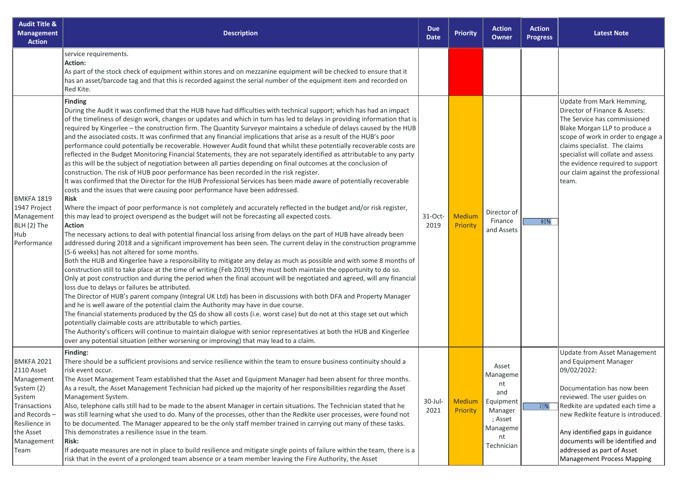| <b>Audit Title &amp;</b><br><b>Management</b><br><b>Action</b>                                                                                            | <b>Description</b>                                                                                                                                                                                                                                                                                                                                                                                                                                                                                                                                                                                                                                                                                                                                                                                                                                                                                                                                                                                                                                                                                                                                                                                                                                                                                                                                                                                                                                                                                                                                                                                                                                                                                                                                                                                                                                                                                                                                                                                                                                                                                                                                                                                                                                                                                                                                                                                                                                                                                                                                                                                                                                                                                                                                                                               | <b>Due</b><br><b>Date</b> | <b>Priority</b>           | <b>Action</b><br>Owner                                                                            | <b>Action</b><br><b>Progress</b> | <b>Latest Note</b>                                                                                                                                                                                                                                                                                                                                           |
|-----------------------------------------------------------------------------------------------------------------------------------------------------------|--------------------------------------------------------------------------------------------------------------------------------------------------------------------------------------------------------------------------------------------------------------------------------------------------------------------------------------------------------------------------------------------------------------------------------------------------------------------------------------------------------------------------------------------------------------------------------------------------------------------------------------------------------------------------------------------------------------------------------------------------------------------------------------------------------------------------------------------------------------------------------------------------------------------------------------------------------------------------------------------------------------------------------------------------------------------------------------------------------------------------------------------------------------------------------------------------------------------------------------------------------------------------------------------------------------------------------------------------------------------------------------------------------------------------------------------------------------------------------------------------------------------------------------------------------------------------------------------------------------------------------------------------------------------------------------------------------------------------------------------------------------------------------------------------------------------------------------------------------------------------------------------------------------------------------------------------------------------------------------------------------------------------------------------------------------------------------------------------------------------------------------------------------------------------------------------------------------------------------------------------------------------------------------------------------------------------------------------------------------------------------------------------------------------------------------------------------------------------------------------------------------------------------------------------------------------------------------------------------------------------------------------------------------------------------------------------------------------------------------------------------------------------------------------------|---------------------------|---------------------------|---------------------------------------------------------------------------------------------------|----------------------------------|--------------------------------------------------------------------------------------------------------------------------------------------------------------------------------------------------------------------------------------------------------------------------------------------------------------------------------------------------------------|
|                                                                                                                                                           | service requirements.<br>Action:<br>As part of the stock check of equipment within stores and on mezzanine equipment will be checked to ensure that it<br>has an asset/barcode tag and that this is recorded against the serial number of the equipment item and recorded on<br>Red Kite.                                                                                                                                                                                                                                                                                                                                                                                                                                                                                                                                                                                                                                                                                                                                                                                                                                                                                                                                                                                                                                                                                                                                                                                                                                                                                                                                                                                                                                                                                                                                                                                                                                                                                                                                                                                                                                                                                                                                                                                                                                                                                                                                                                                                                                                                                                                                                                                                                                                                                                        |                           |                           |                                                                                                   |                                  |                                                                                                                                                                                                                                                                                                                                                              |
| BMKFA 1819<br>1947 Project<br>Management<br>BLH (2) The<br>Hub<br>Performance                                                                             | <b>Finding</b><br>During the Audit it was confirmed that the HUB have had difficulties with technical support; which has had an impact<br>of the timeliness of design work, changes or updates and which in turn has led to delays in providing information that is<br>required by Kingerlee - the construction firm. The Quantity Surveyor maintains a schedule of delays caused by the HUB<br>and the associated costs. It was confirmed that any financial implications that arise as a result of the HUB's poor<br>performance could potentially be recoverable. However Audit found that whilst these potentially recoverable costs are<br>reflected in the Budget Monitoring Financial Statements, they are not separately identified as attributable to any party<br>as this will be the subject of negotiation between all parties depending on final outcomes at the conclusion of<br>construction. The risk of HUB poor performance has been recorded in the risk register.<br>It was confirmed that the Director for the HUB Professional Services has been made aware of potentially recoverable<br>costs and the issues that were causing poor performance have been addressed.<br><b>Risk</b><br>Where the impact of poor performance is not completely and accurately reflected in the budget and/or risk register,<br>this may lead to project overspend as the budget will not be forecasting all expected costs.<br>Action<br>The necessary actions to deal with potential financial loss arising from delays on the part of HUB have already been<br>addressed during 2018 and a significant improvement has been seen. The current delay in the construction programme<br>(5-6 weeks) has not altered for some months.<br>Both the HUB and Kingerlee have a responsibility to mitigate any delay as much as possible and with some 8 months of<br>construction still to take place at the time of writing (Feb 2019) they must both maintain the opportunity to do so.<br>Only at post construction and during the period when the final account will be negotiated and agreed, will any financial<br>loss due to delays or failures be attributed.<br>The Director of HUB's parent company (Integral UK Ltd) has been in discussions with both DFA and Property Manager<br>and he is well aware of the potential claim the Authority may have in due course.<br>The financial statements produced by the QS do show all costs (i.e. worst case) but do not at this stage set out which<br>potentially claimable costs are attributable to which parties.<br>The Authority's officers will continue to maintain dialogue with senior representatives at both the HUB and Kingerlee<br>over any potential situation (either worsening or improving) that may lead to a claim. | 31-Oct-<br>2019           | <b>Medium</b><br>Priority | Director of<br>Finance<br>and Assets                                                              | 80%                              | Update from Mark Hemming,<br>Director of Finance & Assets:<br>The Service has commissioned<br>Blake Morgan LLP to produce a<br>scope of work in order to engage a<br>claims specialist. The claims<br>specialist will collate and assess<br>the evidence required to support<br>our claim against the professional<br>team.                                  |
| <b>BMKFA 2021</b><br>2110 Asset<br>Management<br>System (2)<br>System<br>Transactions<br>and Records-<br>Resilience in<br>the Asset<br>Management<br>Team | <b>Finding:</b><br>There should be a sufficient provisions and service resilience within the team to ensure business continuity should a<br>risk event occur.<br>The Asset Management Team established that the Asset and Equipment Manager had been absent for three months.<br>As a result, the Asset Management Technician had picked up the majority of her responsibilities regarding the Asset<br>Management System.<br>Also, telephone calls still had to be made to the absent Manager in certain situations. The Technician stated that he<br>was still learning what she used to do. Many of the processes, other than the Redkite user processes, were found not<br>to be documented. The Manager appeared to be the only staff member trained in carrying out many of these tasks.<br>This demonstrates a resilience issue in the team.<br><b>Risk:</b><br>If adequate measures are not in place to build resilience and mitigate single points of failure within the team, there is a<br>risk that in the event of a prolonged team absence or a team member leaving the Fire Authority, the Asset                                                                                                                                                                                                                                                                                                                                                                                                                                                                                                                                                                                                                                                                                                                                                                                                                                                                                                                                                                                                                                                                                                                                                                                                                                                                                                                                                                                                                                                                                                                                                                                                                                                                                  | $30$ -Jul-<br>2021        | <b>Medium</b><br>Priority | Asset<br>Manageme<br>nt<br>and<br>Equipment<br>Manager<br>; Asset<br>Manageme<br>nt<br>Technician | 75%                              | <b>Update from Asset Management</b><br>and Equipment Manager<br>09/02/2022:<br>Documentation has now been<br>reviewed. The user guides on<br>Redkite are updated each time a<br>new Redkite feature is introduced.<br>Any identified gaps in guidance<br>documents will be identified and<br>addressed as part of Asset<br><b>Management Process Mapping</b> |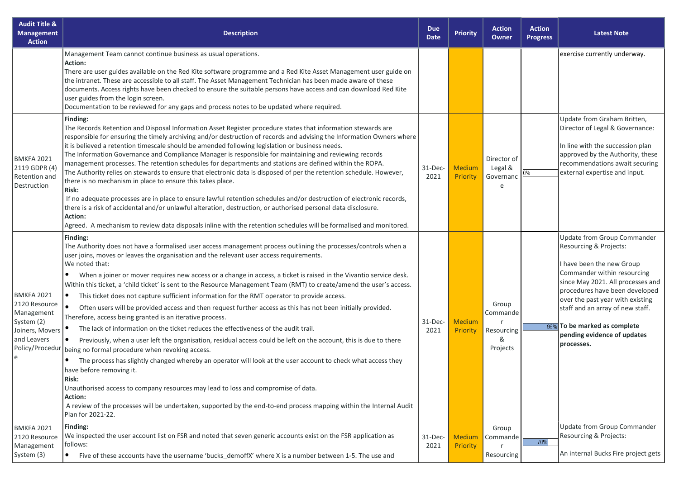| <b>Audit Title &amp;</b><br><b>Management</b><br><b>Action</b>                                                           | <b>Description</b>                                                                                                                                                                                                                                                                                                                                                                                                                                                                                                                                                                                                                                                                                                                                                                                                                                                                                                                                                                                                                                                                                                                                                                                                                                                                                                                                                                                                                                                        | <b>Due</b><br><b>Date</b> | <b>Priority</b>           | <b>Action</b><br><b>Owner</b>                     | <b>Action</b><br><b>Progress</b> | <b>Latest Note</b>                                                                                                                                                                                                                                                                                                                                   |
|--------------------------------------------------------------------------------------------------------------------------|---------------------------------------------------------------------------------------------------------------------------------------------------------------------------------------------------------------------------------------------------------------------------------------------------------------------------------------------------------------------------------------------------------------------------------------------------------------------------------------------------------------------------------------------------------------------------------------------------------------------------------------------------------------------------------------------------------------------------------------------------------------------------------------------------------------------------------------------------------------------------------------------------------------------------------------------------------------------------------------------------------------------------------------------------------------------------------------------------------------------------------------------------------------------------------------------------------------------------------------------------------------------------------------------------------------------------------------------------------------------------------------------------------------------------------------------------------------------------|---------------------------|---------------------------|---------------------------------------------------|----------------------------------|------------------------------------------------------------------------------------------------------------------------------------------------------------------------------------------------------------------------------------------------------------------------------------------------------------------------------------------------------|
|                                                                                                                          | Management Team cannot continue business as usual operations.<br>Action:<br>There are user guides available on the Red Kite software programme and a Red Kite Asset Management user guide on<br>the intranet. These are accessible to all staff. The Asset Management Technician has been made aware of these<br>documents. Access rights have been checked to ensure the suitable persons have access and can download Red Kite<br>user guides from the login screen.<br>Documentation to be reviewed for any gaps and process notes to be updated where required.                                                                                                                                                                                                                                                                                                                                                                                                                                                                                                                                                                                                                                                                                                                                                                                                                                                                                                       |                           |                           |                                                   |                                  | exercise currently underway.                                                                                                                                                                                                                                                                                                                         |
| <b>BMKFA 2021</b><br>2119 GDPR (4)<br>Retention and<br>Destruction                                                       | Finding:<br>The Records Retention and Disposal Information Asset Register procedure states that information stewards are<br>responsible for ensuring the timely archiving and/or destruction of records and advising the Information Owners where<br>it is believed a retention timescale should be amended following legislation or business needs.<br>The Information Governance and Compliance Manager is responsible for maintaining and reviewing records<br>management processes. The retention schedules for departments and stations are defined within the ROPA.<br>The Authority relies on stewards to ensure that electronic data is disposed of per the retention schedule. However,<br>there is no mechanism in place to ensure this takes place.<br>Risk:<br>If no adequate processes are in place to ensure lawful retention schedules and/or destruction of electronic records,<br>there is a risk of accidental and/or unlawful alteration, destruction, or authorised personal data disclosure.<br><b>Action:</b><br>Agreed. A mechanism to review data disposals inline with the retention schedules will be formalised and monitored.                                                                                                                                                                                                                                                                                                                 | $31-Dec-$<br>2021         | <b>Medium</b><br>Priority | Director of<br>Legal &<br>Governanc<br>$\epsilon$ | 1%                               | Update from Graham Britten,<br>Director of Legal & Governance:<br>In line with the succession plan<br>approved by the Authority, these<br>recommendations await securing<br>external expertise and input.                                                                                                                                            |
| <b>BMKFA 2021</b><br>2120 Resource<br>Management<br>System (2)<br>Joiners, Movers<br>and Leavers<br>Policy/Procedur<br>e | Finding:<br>The Authority does not have a formalised user access management process outlining the processes/controls when a<br>user joins, moves or leaves the organisation and the relevant user access requirements.<br>We noted that:<br>When a joiner or mover requires new access or a change in access, a ticket is raised in the Vivantio service desk.<br>$\bullet$<br>Within this ticket, a 'child ticket' is sent to the Resource Management Team (RMT) to create/amend the user's access.<br>This ticket does not capture sufficient information for the RMT operator to provide access.<br>$\bullet$<br>$\bullet$<br>Often users will be provided access and then request further access as this has not been initially provided.<br>Therefore, access being granted is an iterative process.<br>The lack of information on the ticket reduces the effectiveness of the audit trail.<br>Previously, when a user left the organisation, residual access could be left on the account, this is due to there<br>being no formal procedure when revoking access.<br>The process has slightly changed whereby an operator will look at the user account to check what access they<br>have before removing it.<br>Risk:<br>Unauthorised access to company resources may lead to loss and compromise of data.<br>Action:<br>A review of the processes will be undertaken, supported by the end-to-end process mapping within the Internal Audit<br>Plan for 2021-22. | $31-Dec-$<br>2021         | <b>Medium</b><br>Priority | Group<br>Commande<br>Resourcing<br>&<br>Projects  |                                  | <b>Update from Group Commander</b><br>Resourcing & Projects:<br>I have been the new Group<br>Commander within resourcing<br>since May 2021. All processes and<br>procedures have been developed<br>over the past year with existing<br>staff and an array of new staff.<br>98% To be marked as complete<br>pending evidence of updates<br>processes. |
| <b>BMKFA 2021</b><br>2120 Resource<br>Management<br>System (3)                                                           | Finding:<br>We inspected the user account list on FSR and noted that seven generic accounts exist on the FSR application as<br>follows:<br>$\bullet$<br>Five of these accounts have the username 'bucks demoffX' where X is a number between 1-5. The use and                                                                                                                                                                                                                                                                                                                                                                                                                                                                                                                                                                                                                                                                                                                                                                                                                                                                                                                                                                                                                                                                                                                                                                                                             | $31$ -Dec-<br>2021        | Medium<br>Priority        | Group<br>Commande<br>Resourcing                   | 70%                              | Update from Group Commander<br>Resourcing & Projects:<br>An internal Bucks Fire project gets                                                                                                                                                                                                                                                         |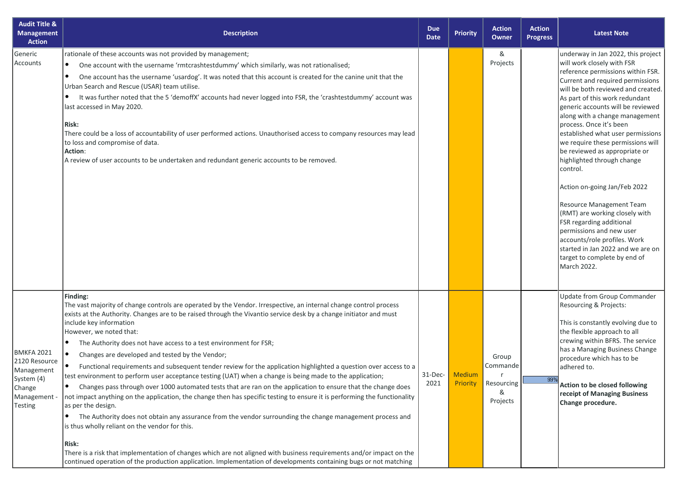| <b>Audit Title &amp;</b><br><b>Management</b><br><b>Action</b>                                             | <b>Description</b>                                                                                                                                                                                                                                                                                                                                                                                                                                                                                                                                                                                                                                                                                                                                                                                                                                                                                                                                                                                                                                                                                                                                                                                                                                                                                                                                                                                                     | <b>Due</b><br><b>Date</b> | <b>Priority</b>                  | <b>Action</b><br>Owner                                | <b>Action</b><br><b>Progress</b> | <b>Latest Note</b>                                                                                                                                                                                                                                                                                                                                                                                                                                                                                                                                                                                                                                                                                                                                 |
|------------------------------------------------------------------------------------------------------------|------------------------------------------------------------------------------------------------------------------------------------------------------------------------------------------------------------------------------------------------------------------------------------------------------------------------------------------------------------------------------------------------------------------------------------------------------------------------------------------------------------------------------------------------------------------------------------------------------------------------------------------------------------------------------------------------------------------------------------------------------------------------------------------------------------------------------------------------------------------------------------------------------------------------------------------------------------------------------------------------------------------------------------------------------------------------------------------------------------------------------------------------------------------------------------------------------------------------------------------------------------------------------------------------------------------------------------------------------------------------------------------------------------------------|---------------------------|----------------------------------|-------------------------------------------------------|----------------------------------|----------------------------------------------------------------------------------------------------------------------------------------------------------------------------------------------------------------------------------------------------------------------------------------------------------------------------------------------------------------------------------------------------------------------------------------------------------------------------------------------------------------------------------------------------------------------------------------------------------------------------------------------------------------------------------------------------------------------------------------------------|
| Generic<br>Accounts                                                                                        | rationale of these accounts was not provided by management;<br>One account with the username 'rmtcrashtestdummy' which similarly, was not rationalised;<br>$\bullet$<br>One account has the username 'usardog'. It was noted that this account is created for the canine unit that the<br>Urban Search and Rescue (USAR) team utilise.<br>It was further noted that the 5 'demoffX' accounts had never logged into FSR, the 'crashtestdummy' account was<br>٠<br>last accessed in May 2020.<br><b>Risk:</b><br>There could be a loss of accountability of user performed actions. Unauthorised access to company resources may lead<br>to loss and compromise of data.<br>Action:<br>A review of user accounts to be undertaken and redundant generic accounts to be removed.                                                                                                                                                                                                                                                                                                                                                                                                                                                                                                                                                                                                                                          |                           |                                  | &<br>Projects                                         |                                  | underway in Jan 2022, this project<br>will work closely with FSR<br>reference permissions within FSR.<br>Current and required permissions<br>will be both reviewed and created.<br>As part of this work redundant<br>generic accounts will be reviewed<br>along with a change management<br>process. Once it's been<br>established what user permissions<br>we require these permissions will<br>be reviewed as appropriate or<br>highlighted through change<br>control.<br>Action on-going Jan/Feb 2022<br>Resource Management Team<br>(RMT) are working closely with<br>FSR regarding additional<br>permissions and new user<br>accounts/role profiles. Work<br>started in Jan 2022 and we are on<br>target to complete by end of<br>March 2022. |
| <b>BMKFA 2021</b><br>2120 Resource<br>Management<br>System (4)<br>Change<br>Management -<br><b>Testing</b> | Finding:<br>The vast majority of change controls are operated by the Vendor. Irrespective, an internal change control process<br>exists at the Authority. Changes are to be raised through the Vivantio service desk by a change initiator and must<br>include key information<br>However, we noted that:<br>The Authority does not have access to a test environment for FSR;<br>$\bullet$<br>Changes are developed and tested by the Vendor;<br>$\bullet$<br>Functional requirements and subsequent tender review for the application highlighted a question over access to a<br>test environment to perform user acceptance testing (UAT) when a change is being made to the application;<br>Changes pass through over 1000 automated tests that are ran on the application to ensure that the change does<br>$\bullet$<br>not impact anything on the application, the change then has specific testing to ensure it is performing the functionality<br>as per the design.<br>The Authority does not obtain any assurance from the vendor surrounding the change management process and<br>$\bullet$<br>is thus wholly reliant on the vendor for this.<br><b>Risk:</b><br>There is a risk that implementation of changes which are not aligned with business requirements and/or impact on the<br>continued operation of the production application. Implementation of developments containing bugs or not matching | $31$ -Dec-<br>2021        | <b>Medium</b><br><b>Priority</b> | Group<br>Commande<br>r<br>Resourcing<br>&<br>Projects | 99%                              | Update from Group Commander<br>Resourcing & Projects:<br>This is constantly evolving due to<br>the flexible approach to all<br>crewing within BFRS. The service<br>has a Managing Business Change<br>procedure which has to be<br>adhered to.<br>Action to be closed following<br>receipt of Managing Business<br>Change procedure.                                                                                                                                                                                                                                                                                                                                                                                                                |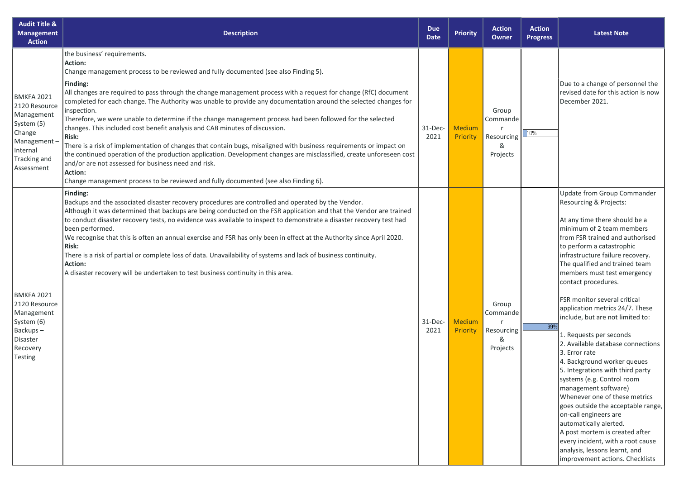| <b>Audit Title &amp;</b><br><b>Management</b><br><b>Action</b>                                                              | <b>Description</b>                                                                                                                                                                                                                                                                                                                                                                                                                                                                                                                                                                                                                                                                                                                                                                                                                                                          | <b>Due</b><br><b>Date</b> | <b>Priority</b>    | <b>Action</b><br>Owner                           | <b>Action</b><br><b>Progress</b> | <b>Latest Note</b>                                                                                                                                                                                                                                                                                                                                                                                                                                                                                                                                                                                                                                                                                                                                                                                                                                                                                           |
|-----------------------------------------------------------------------------------------------------------------------------|-----------------------------------------------------------------------------------------------------------------------------------------------------------------------------------------------------------------------------------------------------------------------------------------------------------------------------------------------------------------------------------------------------------------------------------------------------------------------------------------------------------------------------------------------------------------------------------------------------------------------------------------------------------------------------------------------------------------------------------------------------------------------------------------------------------------------------------------------------------------------------|---------------------------|--------------------|--------------------------------------------------|----------------------------------|--------------------------------------------------------------------------------------------------------------------------------------------------------------------------------------------------------------------------------------------------------------------------------------------------------------------------------------------------------------------------------------------------------------------------------------------------------------------------------------------------------------------------------------------------------------------------------------------------------------------------------------------------------------------------------------------------------------------------------------------------------------------------------------------------------------------------------------------------------------------------------------------------------------|
|                                                                                                                             | the business' requirements.<br><b>Action:</b><br>Change management process to be reviewed and fully documented (see also Finding 5).                                                                                                                                                                                                                                                                                                                                                                                                                                                                                                                                                                                                                                                                                                                                        |                           |                    |                                                  |                                  |                                                                                                                                                                                                                                                                                                                                                                                                                                                                                                                                                                                                                                                                                                                                                                                                                                                                                                              |
| BMKFA 2021<br>2120 Resource<br>Management<br>System (5)<br>Change<br>Management -<br>Internal<br>Tracking and<br>Assessment | Finding:<br>All changes are required to pass through the change management process with a request for change (RfC) document<br>completed for each change. The Authority was unable to provide any documentation around the selected changes for<br>inspection.<br>Therefore, we were unable to determine if the change management process had been followed for the selected<br>changes. This included cost benefit analysis and CAB minutes of discussion.<br>Risk:<br>There is a risk of implementation of changes that contain bugs, misaligned with business requirements or impact on<br>the continued operation of the production application. Development changes are misclassified, create unforeseen cost<br>and/or are not assessed for business need and risk.<br>Action:<br>Change management process to be reviewed and fully documented (see also Finding 6). | $31-Dec-$<br>2021         | Medium<br>Priority | Group<br>Commande<br>Resourcing<br>&<br>Projects | 10%                              | Due to a change of personnel the<br>revised date for this action is now<br>December 2021.                                                                                                                                                                                                                                                                                                                                                                                                                                                                                                                                                                                                                                                                                                                                                                                                                    |
| BMKFA 2021<br>2120 Resource<br>Management<br>System (6)<br>Backups-<br>Disaster<br>Recovery<br>Testing                      | Finding:<br>Backups and the associated disaster recovery procedures are controlled and operated by the Vendor.<br>Although it was determined that backups are being conducted on the FSR application and that the Vendor are trained<br>to conduct disaster recovery tests, no evidence was available to inspect to demonstrate a disaster recovery test had<br>been performed.<br>We recognise that this is often an annual exercise and FSR has only been in effect at the Authority since April 2020.<br><b>Risk:</b><br>There is a risk of partial or complete loss of data. Unavailability of systems and lack of business continuity.<br><b>Action:</b><br>A disaster recovery will be undertaken to test business continuity in this area.                                                                                                                           | $31$ -Dec-<br>2021        | Medium<br>Priority | Group<br>Commande<br>Resourcing<br>&<br>Projects | 99%                              | <b>Update from Group Commander</b><br>Resourcing & Projects:<br>At any time there should be a<br>minimum of 2 team members<br>from FSR trained and authorised<br>to perform a catastrophic<br>infrastructure failure recovery.<br>The qualified and trained team<br>members must test emergency<br>contact procedures.<br>FSR monitor several critical<br>application metrics 24/7. These<br>include, but are not limited to:<br>1. Requests per seconds<br>2. Available database connections<br>3. Error rate<br>4. Background worker queues<br>5. Integrations with third party<br>systems (e.g. Control room<br>management software)<br>Whenever one of these metrics<br>goes outside the acceptable range,<br>on-call engineers are<br>automatically alerted.<br>A post mortem is created after<br>every incident, with a root cause<br>analysis, lessons learnt, and<br>improvement actions. Checklists |